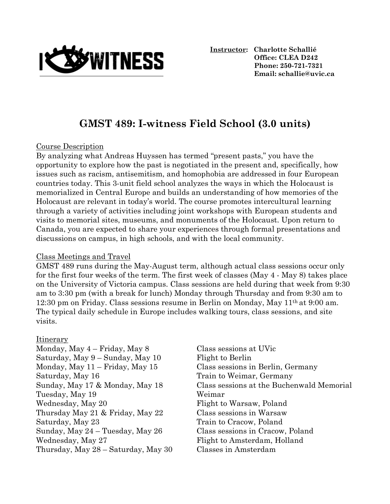

**Instructor: Charlotte Schallié Office: CLEA D242 Phone: 250-721-7321 Email: schallie@uvic.ca**

# **GMST 489: I-witness Field School (3.0 units)**

#### Course Description

By analyzing what Andreas Huyssen has termed "present pasts," you have the opportunity to explore how the past is negotiated in the present and, specifically, how issues such as racism, antisemitism, and homophobia are addressed in four European countries today. This 3-unit field school analyzes the ways in which the Holocaust is memorialized in Central Europe and builds an understanding of how memories of the Holocaust are relevant in today's world. The course promotes intercultural learning through a variety of activities including joint workshops with European students and visits to memorial sites, museums, and monuments of the Holocaust. Upon return to Canada, you are expected to share your experiences through formal presentations and discussions on campus, in high schools, and with the local community.

#### Class Meetings and Travel

GMST 489 runs during the May-August term, although actual class sessions occur only for the first four weeks of the term. The first week of classes (May 4 - May 8) takes place on the University of Victoria campus. Class sessions are held during that week from 9:30 am to 3:30 pm (with a break for lunch) Monday through Thursday and from 9:30 am to 12:30 pm on Friday. Class sessions resume in Berlin on Monday, May 11th at 9:00 am. The typical daily schedule in Europe includes walking tours, class sessions, and site visits.

#### Itinerary

Monday, May 4 – Friday, May 8 Class sessions at UVic Saturday, May  $9 -$ Sunday, May  $10$  Flight to Berlin Monday, May 11 – Friday, May 15 Class sessions in Berlin, Germany Saturday, May 16 Train to Weimar, Germany Tuesday, May 19 Weimar Wednesday, May 20 Flight to Warsaw, Poland Thursday May 21 & Friday, May 22 Class sessions in Warsaw Saturday, May 23 Train to Cracow, Poland Sunday, May 24 – Tuesday, May 26 Class sessions in Cracow, Poland Wednesday, May 27 Flight to Amsterdam, Holland Thursday, May 28 – Saturday, May 30 Classes in Amsterdam

Sunday, May 17 & Monday, May 18 Class sessions at the Buchenwald Memorial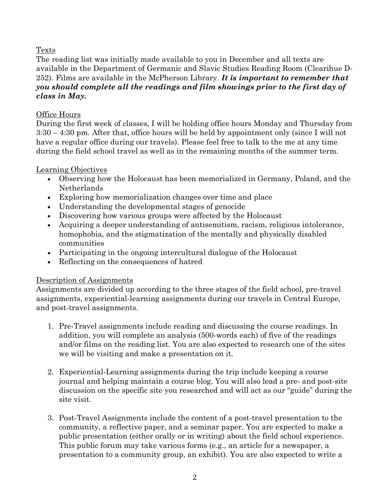# Texts

The reading list was initially made available to you in December and all texts are available in the Department of Germanic and Slavic Studies Reading Room (Clearihue D-252). Films are available in the McPherson Library. *It is important to remember that you should complete all the readings and film showings prior to the first day of class in May.* 

## Office Hours

During the first week of classes, I will be holding office hours Monday and Thursday from 3:30 – 4:30 pm. After that, office hours will be held by appointment only (since I will not have a regular office during our travels). Please feel free to talk to the me at any time during the field school travel as well as in the remaining months of the summer term.

# Learning Objectives

- Observing how the Holocaust has been memorialized in Germany, Poland, and the Netherlands
- Exploring how memorialization changes over time and place
- Understanding the developmental stages of genocide
- Discovering how various groups were affected by the Holocaust
- Acquiring a deeper understanding of antisemitism, racism, religious intolerance, homophobia, and the stigmatization of the mentally and physically disabled communities
- Participating in the ongoing intercultural dialogue of the Holocaust
- Reflecting on the consequences of hatred

# Description of Assignments

Assignments are divided up according to the three stages of the field school, pre-travel assignments, experiential-learning assignments during our travels in Central Europe, and post-travel assignments.

- 1. Pre-Travel assignments include reading and discussing the course readings. In addition, you will complete an analysis (500-words each) of five of the readings and/or films on the reading list. You are also expected to research one of the sites we will be visiting and make a presentation on it.
- 2. Experiential-Learning assignments during the trip include keeping a course journal and helping maintain a course blog. You will also lead a pre- and post-site discussion on the specific site you researched and will act as our "guide" during the site visit.
- 3. Post-Travel Assignments include the content of a post-travel presentation to the community, a reflective paper, and a seminar paper. You are expected to make a public presentation (either orally or in writing) about the field school experience. This public forum may take various forms (e.g., an article for a newspaper, a presentation to a community group, an exhibit). You are also expected to write a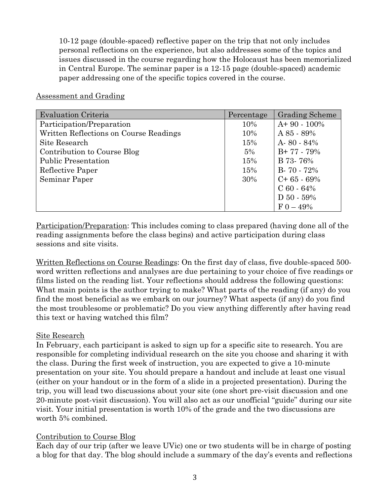10-12 page (double-spaced) reflective paper on the trip that not only includes personal reflections on the experience, but also addresses some of the topics and issues discussed in the course regarding how the Holocaust has been memorialized in Central Europe. The seminar paper is a 12-15 page (double-spaced) academic paper addressing one of the specific topics covered in the course.

#### Assessment and Grading

| <b>Evaluation Criteria</b>             | Percentage | <b>Grading Scheme</b> |
|----------------------------------------|------------|-----------------------|
| Participation/Preparation              | 10%        | $A+90-100\%$          |
| Written Reflections on Course Readings | 10%        | $A85 - 89%$           |
| Site Research                          | 15%        | A-80 - 84%            |
| Contribution to Course Blog            | 5%         | $B+77-79%$            |
| <b>Public Presentation</b>             | 15%        | B 73-76%              |
| Reflective Paper                       | 15%        | $B - 70 - 72%$        |
| Seminar Paper                          | 30%        | $C+65-69%$            |
|                                        |            | $C_60 - 64\%$         |
|                                        |            | $D 50 - 59%$          |
|                                        |            | $F_{0} - 49\%$        |

Participation/Preparation: This includes coming to class prepared (having done all of the reading assignments before the class begins) and active participation during class sessions and site visits.

Written Reflections on Course Readings: On the first day of class, five double-spaced 500 word written reflections and analyses are due pertaining to your choice of five readings or films listed on the reading list. Your reflections should address the following questions: What main points is the author trying to make? What parts of the reading (if any) do you find the most beneficial as we embark on our journey? What aspects (if any) do you find the most troublesome or problematic? Do you view anything differently after having read this text or having watched this film?

## Site Research

In February, each participant is asked to sign up for a specific site to research. You are responsible for completing individual research on the site you choose and sharing it with the class. During the first week of instruction, you are expected to give a 10-minute presentation on your site. You should prepare a handout and include at least one visual (either on your handout or in the form of a slide in a projected presentation). During the trip, you will lead two discussions about your site (one short pre-visit discussion and one 20-minute post-visit discussion). You will also act as our unofficial "guide" during our site visit. Your initial presentation is worth 10% of the grade and the two discussions are worth 5% combined.

## Contribution to Course Blog

Each day of our trip (after we leave UVic) one or two students will be in charge of posting a blog for that day. The blog should include a summary of the day's events and reflections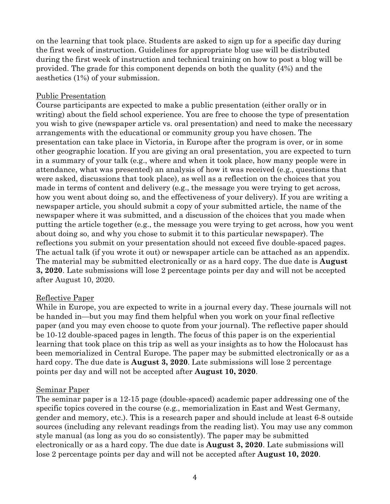on the learning that took place. Students are asked to sign up for a specific day during the first week of instruction. Guidelines for appropriate blog use will be distributed during the first week of instruction and technical training on how to post a blog will be provided. The grade for this component depends on both the quality (4%) and the aesthetics (1%) of your submission.

#### Public Presentation

Course participants are expected to make a public presentation (either orally or in writing) about the field school experience. You are free to choose the type of presentation you wish to give (newspaper article vs. oral presentation) and need to make the necessary arrangements with the educational or community group you have chosen. The presentation can take place in Victoria, in Europe after the program is over, or in some other geographic location. If you are giving an oral presentation, you are expected to turn in a summary of your talk (e.g., where and when it took place, how many people were in attendance, what was presented) an analysis of how it was received (e.g., questions that were asked, discussions that took place), as well as a reflection on the choices that you made in terms of content and delivery (e.g., the message you were trying to get across, how you went about doing so, and the effectiveness of your delivery). If you are writing a newspaper article, you should submit a copy of your submitted article, the name of the newspaper where it was submitted, and a discussion of the choices that you made when putting the article together (e.g., the message you were trying to get across, how you went about doing so, and why you chose to submit it to this particular newspaper). The reflections you submit on your presentation should not exceed five double-spaced pages. The actual talk (if you wrote it out) or newspaper article can be attached as an appendix. The material may be submitted electronically or as a hard copy. The due date is **August 3, 2020**. Late submissions will lose 2 percentage points per day and will not be accepted after August 10, 2020.

#### Reflective Paper

While in Europe, you are expected to write in a journal every day. These journals will not be handed in—but you may find them helpful when you work on your final reflective paper (and you may even choose to quote from your journal). The reflective paper should be 10-12 double-spaced pages in length. The focus of this paper is on the experiential learning that took place on this trip as well as your insights as to how the Holocaust has been memorialized in Central Europe. The paper may be submitted electronically or as a hard copy. The due date is **August 3, 2020**. Late submissions will lose 2 percentage points per day and will not be accepted after **August 10, 2020**.

#### Seminar Paper

The seminar paper is a 12-15 page (double-spaced) academic paper addressing one of the specific topics covered in the course (e.g., memorialization in East and West Germany, gender and memory, etc.). This is a research paper and should include at least 6-8 outside sources (including any relevant readings from the reading list). You may use any common style manual (as long as you do so consistently). The paper may be submitted electronically or as a hard copy. The due date is **August 3, 2020**. Late submissions will lose 2 percentage points per day and will not be accepted after **August 10, 2020**.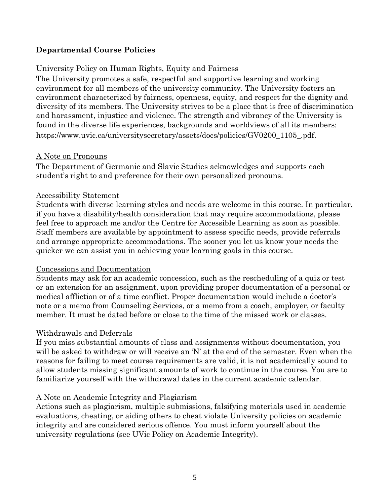## **Departmental Course Policies**

## University Policy on Human Rights, Equity and Fairness

The University promotes a safe, respectful and supportive learning and working environment for all members of the university community. The University fosters an environment characterized by fairness, openness, equity, and respect for the dignity and diversity of its members. The University strives to be a place that is free of discrimination and harassment, injustice and violence. The strength and vibrancy of the University is found in the diverse life experiences, backgrounds and worldviews of all its members: https://www.uvic.ca/universitysecretary/assets/docs/policies/GV0200\_1105\_.pdf.

#### A Note on Pronouns

The Department of Germanic and Slavic Studies acknowledges and supports each student's right to and preference for their own personalized pronouns.

#### Accessibility Statement

Students with diverse learning styles and needs are welcome in this course. In particular, if you have a disability/health consideration that may require accommodations, please feel free to approach me and/or the Centre for Accessible Learning as soon as possible. Staff members are available by appointment to assess specific needs, provide referrals and arrange appropriate accommodations. The sooner you let us know your needs the quicker we can assist you in achieving your learning goals in this course.

#### Concessions and Documentation

Students may ask for an academic concession, such as the rescheduling of a quiz or test or an extension for an assignment, upon providing proper documentation of a personal or medical affliction or of a time conflict. Proper documentation would include a doctor's note or a memo from Counseling Services, or a memo from a coach, employer, or faculty member. It must be dated before or close to the time of the missed work or classes.

## Withdrawals and Deferrals

If you miss substantial amounts of class and assignments without documentation, you will be asked to withdraw or will receive an 'N' at the end of the semester. Even when the reasons for failing to meet course requirements are valid, it is not academically sound to allow students missing significant amounts of work to continue in the course. You are to familiarize yourself with the withdrawal dates in the current academic calendar.

#### A Note on Academic Integrity and Plagiarism

Actions such as plagiarism, multiple submissions, falsifying materials used in academic evaluations, cheating, or aiding others to cheat violate University policies on academic integrity and are considered serious offence. You must inform yourself about the university regulations (see UVic Policy on Academic Integrity).